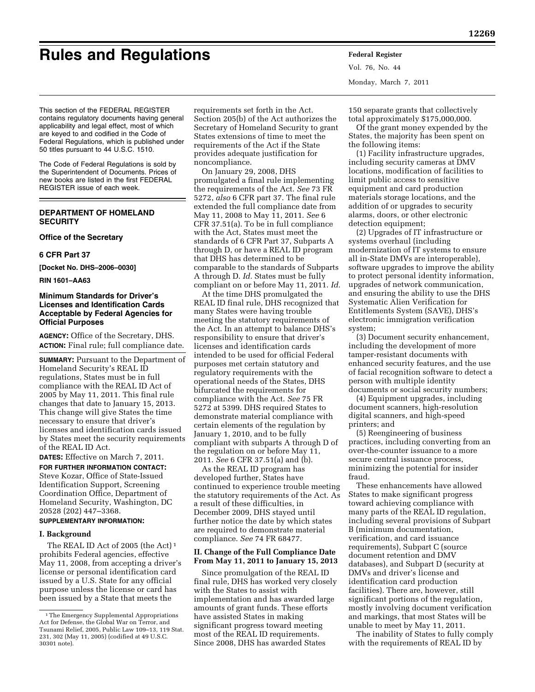# **Rules and Regulations Federal Register**

Vol. 76, No. 44 Monday, March 7, 2011

This section of the FEDERAL REGISTER contains regulatory documents having general applicability and legal effect, most of which are keyed to and codified in the Code of Federal Regulations, which is published under 50 titles pursuant to 44 U.S.C. 1510.

The Code of Federal Regulations is sold by the Superintendent of Documents. Prices of new books are listed in the first FEDERAL REGISTER issue of each week.

# **DEPARTMENT OF HOMELAND SECURITY**

#### **Office of the Secretary**

#### **6 CFR Part 37**

**[Docket No. DHS–2006–0030]** 

**RIN 1601–AA63** 

## **Minimum Standards for Driver's Licenses and Identification Cards Acceptable by Federal Agencies for Official Purposes**

**AGENCY:** Office of the Secretary, DHS. **ACTION:** Final rule; full compliance date.

**SUMMARY:** Pursuant to the Department of Homeland Security's REAL ID regulations, States must be in full compliance with the REAL ID Act of 2005 by May 11, 2011. This final rule changes that date to January 15, 2013. This change will give States the time necessary to ensure that driver's licenses and identification cards issued by States meet the security requirements of the REAL ID Act.

**DATES:** Effective on March 7, 2011. **FOR FURTHER INFORMATION CONTACT:**  Steve Kozar, Office of State-Issued Identification Support, Screening Coordination Office, Department of Homeland Security, Washington, DC 20528 (202) 447–3368.

#### **SUPPLEMENTARY INFORMATION:**

#### **I. Background**

The REAL ID Act of 2005 (the Act) 1 prohibits Federal agencies, effective May 11, 2008, from accepting a driver's license or personal identification card issued by a U.S. State for any official purpose unless the license or card has been issued by a State that meets the

requirements set forth in the Act. Section 205(b) of the Act authorizes the Secretary of Homeland Security to grant States extensions of time to meet the requirements of the Act if the State provides adequate justification for noncompliance.

On January 29, 2008, DHS promulgated a final rule implementing the requirements of the Act. *See* 73 FR 5272, *also* 6 CFR part 37. The final rule extended the full compliance date from May 11, 2008 to May 11, 2011. *See* 6 CFR 37.51(a). To be in full compliance with the Act, States must meet the standards of 6 CFR Part 37, Subparts A through D, or have a REAL ID program that DHS has determined to be comparable to the standards of Subparts A through D. *Id.* States must be fully compliant on or before May 11, 2011. *Id.* 

At the time DHS promulgated the REAL ID final rule, DHS recognized that many States were having trouble meeting the statutory requirements of the Act. In an attempt to balance DHS's responsibility to ensure that driver's licenses and identification cards intended to be used for official Federal purposes met certain statutory and regulatory requirements with the operational needs of the States, DHS bifurcated the requirements for compliance with the Act. *See* 75 FR 5272 at 5399. DHS required States to demonstrate material compliance with certain elements of the regulation by January 1, 2010, and to be fully compliant with subparts A through D of the regulation on or before May 11, 2011. *See* 6 CFR 37.51(a) and (b).

As the REAL ID program has developed further, States have continued to experience trouble meeting the statutory requirements of the Act. As a result of these difficulties, in December 2009, DHS stayed until further notice the date by which states are required to demonstrate material compliance. *See* 74 FR 68477.

## **II. Change of the Full Compliance Date From May 11, 2011 to January 15, 2013**

Since promulgation of the REAL ID final rule, DHS has worked very closely with the States to assist with implementation and has awarded large amounts of grant funds. These efforts have assisted States in making significant progress toward meeting most of the REAL ID requirements. Since 2008, DHS has awarded States

150 separate grants that collectively total approximately \$175,000,000.

Of the grant money expended by the States, the majority has been spent on the following items:

(1) Facility infrastructure upgrades, including security cameras at DMV locations, modification of facilities to limit public access to sensitive equipment and card production materials storage locations, and the addition of or upgrades to security alarms, doors, or other electronic detection equipment;

(2) Upgrades of IT infrastructure or systems overhaul (including modernization of IT systems to ensure all in-State DMVs are interoperable), software upgrades to improve the ability to protect personal identity information, upgrades of network communication, and ensuring the ability to use the DHS Systematic Alien Verification for Entitlements System (SAVE), DHS's electronic immigration verification system;

(3) Document security enhancement, including the development of more tamper-resistant documents with enhanced security features, and the use of facial recognition software to detect a person with multiple identity documents or social security numbers;

(4) Equipment upgrades, including document scanners, high-resolution digital scanners, and high-speed printers; and

(5) Reengineering of business practices, including converting from an over-the-counter issuance to a more secure central issuance process, minimizing the potential for insider fraud.

These enhancements have allowed States to make significant progress toward achieving compliance with many parts of the REAL ID regulation, including several provisions of Subpart B (minimum documentation, verification, and card issuance requirements), Subpart C (source document retention and DMV databases), and Subpart D (security at DMVs and driver's license and identification card production facilities). There are, however, still significant portions of the regulation, mostly involving document verification and markings, that most States will be unable to meet by May 11, 2011.

The inability of States to fully comply with the requirements of REAL ID by

<sup>1</sup>The Emergency Supplemental Appropriations Act for Defense, the Global War on Terror, and Tsunami Relief, 2005, Public Law 109–13, 119 Stat. 231, 302 (May 11, 2005) (codified at 49 U.S.C. 30301 note).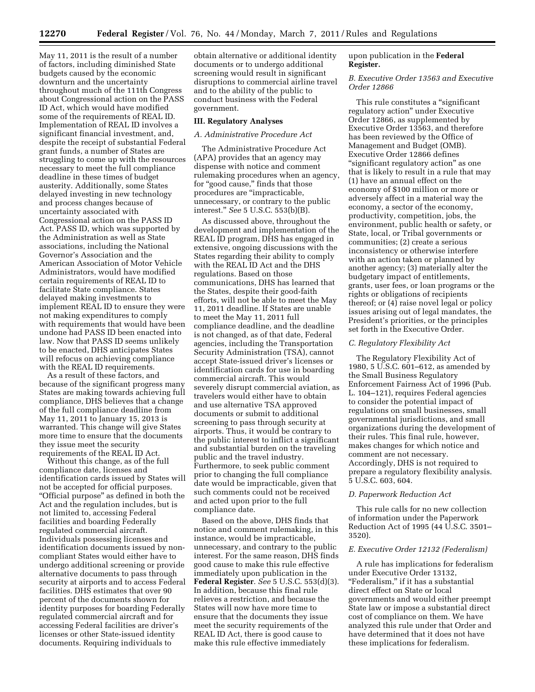May 11, 2011 is the result of a number of factors, including diminished State budgets caused by the economic downturn and the uncertainty throughout much of the 111th Congress about Congressional action on the PASS ID Act, which would have modified some of the requirements of REAL ID. Implementation of REAL ID involves a significant financial investment, and, despite the receipt of substantial Federal grant funds, a number of States are struggling to come up with the resources necessary to meet the full compliance deadline in these times of budget austerity. Additionally, some States delayed investing in new technology and process changes because of uncertainty associated with Congressional action on the PASS ID Act. PASS ID, which was supported by the Administration as well as State associations, including the National Governor's Association and the American Association of Motor Vehicle Administrators, would have modified certain requirements of REAL ID to facilitate State compliance. States delayed making investments to implement REAL ID to ensure they were not making expenditures to comply with requirements that would have been undone had PASS ID been enacted into law. Now that PASS ID seems unlikely to be enacted, DHS anticipates States will refocus on achieving compliance with the REAL ID requirements.

As a result of these factors, and because of the significant progress many States are making towards achieving full compliance, DHS believes that a change of the full compliance deadline from May 11, 2011 to January 15, 2013 is warranted. This change will give States more time to ensure that the documents they issue meet the security requirements of the REAL ID Act.

Without this change, as of the full compliance date, licenses and identification cards issued by States will not be accepted for official purposes. ''Official purpose'' as defined in both the Act and the regulation includes, but is not limited to, accessing Federal facilities and boarding Federally regulated commercial aircraft. Individuals possessing licenses and identification documents issued by noncompliant States would either have to undergo additional screening or provide alternative documents to pass through security at airports and to access Federal facilities. DHS estimates that over 90 percent of the documents shown for identity purposes for boarding Federally regulated commercial aircraft and for accessing Federal facilities are driver's licenses or other State-issued identity documents. Requiring individuals to

obtain alternative or additional identity documents or to undergo additional screening would result in significant disruptions to commercial airline travel and to the ability of the public to conduct business with the Federal government.

#### **III. Regulatory Analyses**

# *A. Administrative Procedure Act*

The Administrative Procedure Act (APA) provides that an agency may dispense with notice and comment rulemaking procedures when an agency, for "good cause," finds that those procedures are ''impracticable, unnecessary, or contrary to the public interest.'' *See* 5 U.S.C. 553(b)(B).

As discussed above, throughout the development and implementation of the REAL ID program, DHS has engaged in extensive, ongoing discussions with the States regarding their ability to comply with the REAL ID Act and the DHS regulations. Based on those communications, DHS has learned that the States, despite their good-faith efforts, will not be able to meet the May 11, 2011 deadline. If States are unable to meet the May 11, 2011 full compliance deadline, and the deadline is not changed, as of that date, Federal agencies, including the Transportation Security Administration (TSA), cannot accept State-issued driver's licenses or identification cards for use in boarding commercial aircraft. This would severely disrupt commercial aviation, as travelers would either have to obtain and use alternative TSA approved documents or submit to additional screening to pass through security at airports. Thus, it would be contrary to the public interest to inflict a significant and substantial burden on the traveling public and the travel industry. Furthermore, to seek public comment prior to changing the full compliance date would be impracticable, given that such comments could not be received and acted upon prior to the full compliance date.

Based on the above, DHS finds that notice and comment rulemaking, in this instance, would be impracticable, unnecessary, and contrary to the public interest. For the same reason, DHS finds good cause to make this rule effective immediately upon publication in the **Federal Register**. *See* 5 U.S.C. 553(d)(3). In addition, because this final rule relieves a restriction, and because the States will now have more time to ensure that the documents they issue meet the security requirements of the REAL ID Act, there is good cause to make this rule effective immediately

# upon publication in the **Federal Register.**

## *B. Executive Order 13563 and Executive Order 12866*

This rule constitutes a ''significant regulatory action'' under Executive Order 12866, as supplemented by Executive Order 13563, and therefore has been reviewed by the Office of Management and Budget (OMB). Executive Order 12866 defines "significant regulatory action" as one that is likely to result in a rule that may (1) have an annual effect on the economy of \$100 million or more or adversely affect in a material way the economy, a sector of the economy, productivity, competition, jobs, the environment, public health or safety, or State, local, or Tribal governments or communities; (2) create a serious inconsistency or otherwise interfere with an action taken or planned by another agency; (3) materially alter the budgetary impact of entitlements, grants, user fees, or loan programs or the rights or obligations of recipients thereof; or (4) raise novel legal or policy issues arising out of legal mandates, the President's priorities, or the principles set forth in the Executive Order.

#### *C. Regulatory Flexibility Act*

The Regulatory Flexibility Act of 1980, 5 U.S.C. 601–612, as amended by the Small Business Regulatory Enforcement Fairness Act of 1996 (Pub. L. 104–121), requires Federal agencies to consider the potential impact of regulations on small businesses, small governmental jurisdictions, and small organizations during the development of their rules. This final rule, however, makes changes for which notice and comment are not necessary. Accordingly, DHS is not required to prepare a regulatory flexibility analysis. 5 U.S.C. 603, 604.

#### *D. Paperwork Reduction Act*

This rule calls for no new collection of information under the Paperwork Reduction Act of 1995 (44 U.S.C. 3501– 3520).

### *E. Executive Order 12132 (Federalism)*

A rule has implications for federalism under Executive Order 13132, "Federalism," if it has a substantial direct effect on State or local governments and would either preempt State law or impose a substantial direct cost of compliance on them. We have analyzed this rule under that Order and have determined that it does not have these implications for federalism.